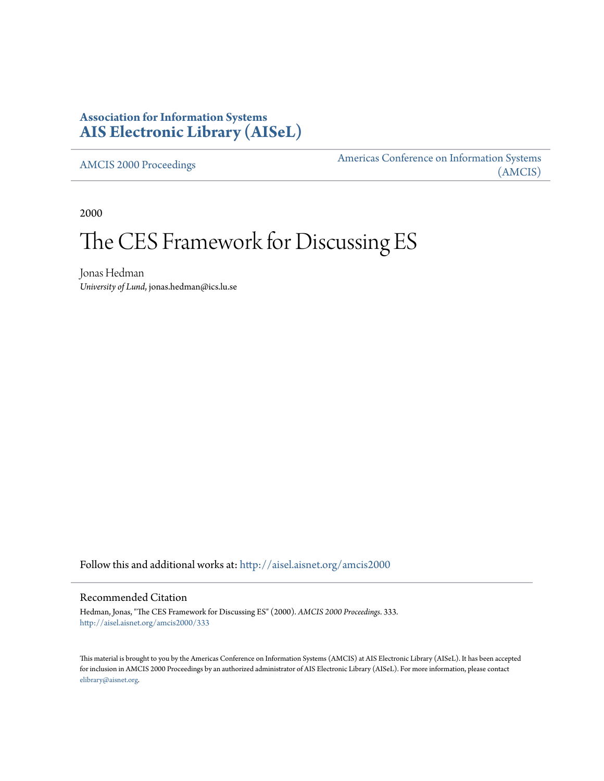# **Association for Information Systems [AIS Electronic Library \(AISeL\)](http://aisel.aisnet.org?utm_source=aisel.aisnet.org%2Famcis2000%2F333&utm_medium=PDF&utm_campaign=PDFCoverPages)**

[AMCIS 2000 Proceedings](http://aisel.aisnet.org/amcis2000?utm_source=aisel.aisnet.org%2Famcis2000%2F333&utm_medium=PDF&utm_campaign=PDFCoverPages)

[Americas Conference on Information Systems](http://aisel.aisnet.org/amcis?utm_source=aisel.aisnet.org%2Famcis2000%2F333&utm_medium=PDF&utm_campaign=PDFCoverPages) [\(AMCIS\)](http://aisel.aisnet.org/amcis?utm_source=aisel.aisnet.org%2Famcis2000%2F333&utm_medium=PDF&utm_campaign=PDFCoverPages)

2000

# The CES Framework for Discussing ES

Jonas Hedman *University of Lund*, jonas.hedman@ics.lu.se

Follow this and additional works at: [http://aisel.aisnet.org/amcis2000](http://aisel.aisnet.org/amcis2000?utm_source=aisel.aisnet.org%2Famcis2000%2F333&utm_medium=PDF&utm_campaign=PDFCoverPages)

## Recommended Citation

Hedman, Jonas, "The CES Framework for Discussing ES" (2000). *AMCIS 2000 Proceedings*. 333. [http://aisel.aisnet.org/amcis2000/333](http://aisel.aisnet.org/amcis2000/333?utm_source=aisel.aisnet.org%2Famcis2000%2F333&utm_medium=PDF&utm_campaign=PDFCoverPages)

This material is brought to you by the Americas Conference on Information Systems (AMCIS) at AIS Electronic Library (AISeL). It has been accepted for inclusion in AMCIS 2000 Proceedings by an authorized administrator of AIS Electronic Library (AISeL). For more information, please contact [elibrary@aisnet.org.](mailto:elibrary@aisnet.org%3E)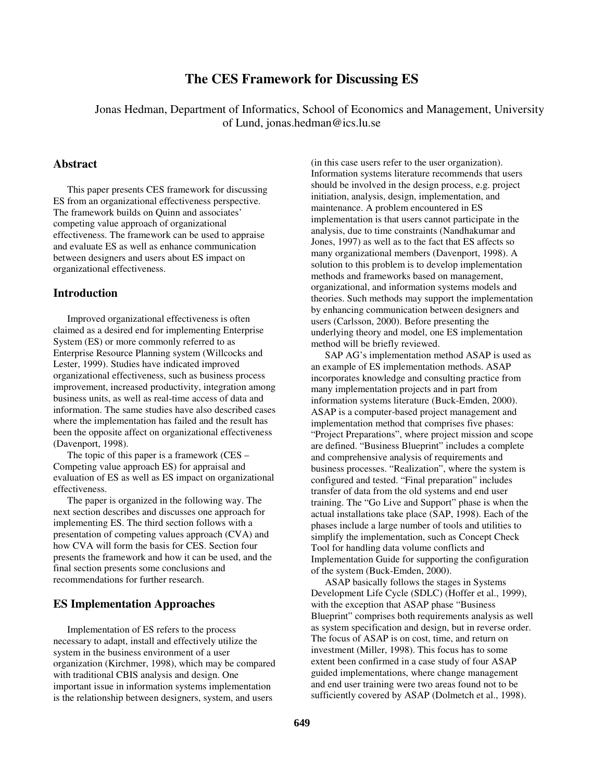# **The CES Framework for Discussing ES**

Jonas Hedman, Department of Informatics, School of Economics and Management, University of Lund, jonas.hedman@ics.lu.se

#### **Abstract**

This paper presents CES framework for discussing ES from an organizational effectiveness perspective. The framework builds on Quinn and associates' competing value approach of organizational effectiveness. The framework can be used to appraise and evaluate ES as well as enhance communication between designers and users about ES impact on organizational effectiveness.

#### **Introduction**

Improved organizational effectiveness is often claimed as a desired end for implementing Enterprise System (ES) or more commonly referred to as Enterprise Resource Planning system (Willcocks and Lester, 1999). Studies have indicated improved organizational effectiveness, such as business process improvement, increased productivity, integration among business units, as well as real-time access of data and information. The same studies have also described cases where the implementation has failed and the result has been the opposite affect on organizational effectiveness (Davenport, 1998).

The topic of this paper is a framework (CES – Competing value approach ES) for appraisal and evaluation of ES as well as ES impact on organizational effectiveness.

The paper is organized in the following way. The next section describes and discusses one approach for implementing ES. The third section follows with a presentation of competing values approach (CVA) and how CVA will form the basis for CES. Section four presents the framework and how it can be used, and the final section presents some conclusions and recommendations for further research.

#### **ES Implementation Approaches**

Implementation of ES refers to the process necessary to adapt, install and effectively utilize the system in the business environment of a user organization (Kirchmer, 1998), which may be compared with traditional CBIS analysis and design. One important issue in information systems implementation is the relationship between designers, system, and users

(in this case users refer to the user organization). Information systems literature recommends that users should be involved in the design process, e.g. project initiation, analysis, design, implementation, and maintenance. A problem encountered in ES implementation is that users cannot participate in the analysis, due to time constraints (Nandhakumar and Jones, 1997) as well as to the fact that ES affects so many organizational members (Davenport, 1998). A solution to this problem is to develop implementation methods and frameworks based on management, organizational, and information systems models and theories. Such methods may support the implementation by enhancing communication between designers and users (Carlsson, 2000). Before presenting the underlying theory and model, one ES implementation method will be briefly reviewed.

SAP AG's implementation method ASAP is used as an example of ES implementation methods. ASAP incorporates knowledge and consulting practice from many implementation projects and in part from information systems literature (Buck-Emden, 2000). ASAP is a computer-based project management and implementation method that comprises five phases: "Project Preparations", where project mission and scope are defined. "Business Blueprint" includes a complete and comprehensive analysis of requirements and business processes. "Realization", where the system is configured and tested. "Final preparation" includes transfer of data from the old systems and end user training. The "Go Live and Support" phase is when the actual installations take place (SAP, 1998). Each of the phases include a large number of tools and utilities to simplify the implementation, such as Concept Check Tool for handling data volume conflicts and Implementation Guide for supporting the configuration of the system (Buck-Emden, 2000).

ASAP basically follows the stages in Systems Development Life Cycle (SDLC) (Hoffer et al., 1999), with the exception that ASAP phase "Business Blueprint" comprises both requirements analysis as well as system specification and design, but in reverse order. The focus of ASAP is on cost, time, and return on investment (Miller, 1998). This focus has to some extent been confirmed in a case study of four ASAP guided implementations, where change management and end user training were two areas found not to be sufficiently covered by ASAP (Dolmetch et al., 1998).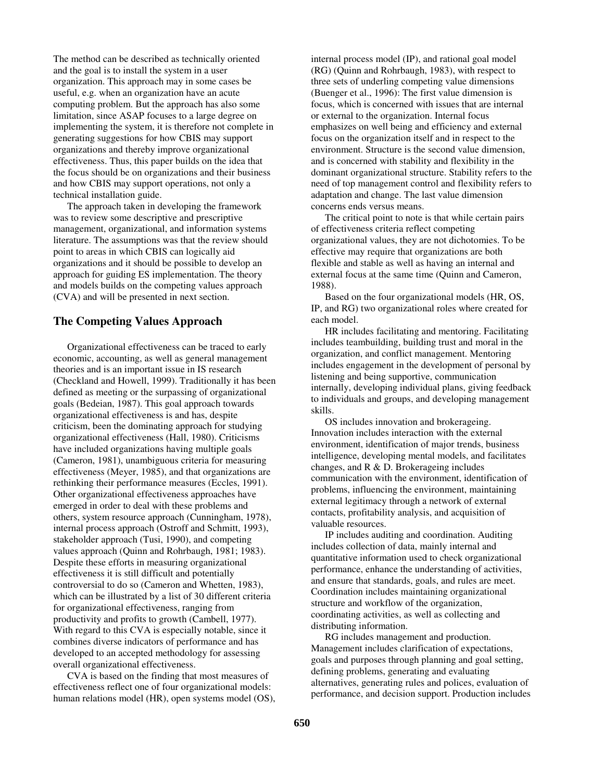The method can be described as technically oriented and the goal is to install the system in a user organization. This approach may in some cases be useful, e.g. when an organization have an acute computing problem. But the approach has also some limitation, since ASAP focuses to a large degree on implementing the system, it is therefore not complete in generating suggestions for how CBIS may support organizations and thereby improve organizational effectiveness. Thus, this paper builds on the idea that the focus should be on organizations and their business and how CBIS may support operations, not only a technical installation guide.

The approach taken in developing the framework was to review some descriptive and prescriptive management, organizational, and information systems literature. The assumptions was that the review should point to areas in which CBIS can logically aid organizations and it should be possible to develop an approach for guiding ES implementation. The theory and models builds on the competing values approach (CVA) and will be presented in next section.

#### **The Competing Values Approach**

Organizational effectiveness can be traced to early economic, accounting, as well as general management theories and is an important issue in IS research (Checkland and Howell, 1999). Traditionally it has been defined as meeting or the surpassing of organizational goals (Bedeian, 1987). This goal approach towards organizational effectiveness is and has, despite criticism, been the dominating approach for studying organizational effectiveness (Hall, 1980). Criticisms have included organizations having multiple goals (Cameron, 1981), unambiguous criteria for measuring effectiveness (Meyer, 1985), and that organizations are rethinking their performance measures (Eccles, 1991). Other organizational effectiveness approaches have emerged in order to deal with these problems and others, system resource approach (Cunningham, 1978), internal process approach (Ostroff and Schmitt, 1993), stakeholder approach (Tusi, 1990), and competing values approach (Quinn and Rohrbaugh, 1981; 1983). Despite these efforts in measuring organizational effectiveness it is still difficult and potentially controversial to do so (Cameron and Whetten, 1983), which can be illustrated by a list of 30 different criteria for organizational effectiveness, ranging from productivity and profits to growth (Cambell, 1977). With regard to this CVA is especially notable, since it combines diverse indicators of performance and has developed to an accepted methodology for assessing overall organizational effectiveness.

CVA is based on the finding that most measures of effectiveness reflect one of four organizational models: human relations model (HR), open systems model (OS), internal process model (IP), and rational goal model (RG) (Quinn and Rohrbaugh, 1983), with respect to three sets of underling competing value dimensions (Buenger et al., 1996): The first value dimension is focus, which is concerned with issues that are internal or external to the organization. Internal focus emphasizes on well being and efficiency and external focus on the organization itself and in respect to the environment. Structure is the second value dimension, and is concerned with stability and flexibility in the dominant organizational structure. Stability refers to the need of top management control and flexibility refers to adaptation and change. The last value dimension concerns ends versus means.

The critical point to note is that while certain pairs of effectiveness criteria reflect competing organizational values, they are not dichotomies. To be effective may require that organizations are both flexible and stable as well as having an internal and external focus at the same time (Quinn and Cameron, 1988).

Based on the four organizational models (HR, OS, IP, and RG) two organizational roles where created for each model.

HR includes facilitating and mentoring. Facilitating includes teambuilding, building trust and moral in the organization, and conflict management. Mentoring includes engagement in the development of personal by listening and being supportive, communication internally, developing individual plans, giving feedback to individuals and groups, and developing management skills.

OS includes innovation and brokerageing. Innovation includes interaction with the external environment, identification of major trends, business intelligence, developing mental models, and facilitates changes, and R & D. Brokerageing includes communication with the environment, identification of problems, influencing the environment, maintaining external legitimacy through a network of external contacts, profitability analysis, and acquisition of valuable resources.

IP includes auditing and coordination. Auditing includes collection of data, mainly internal and quantitative information used to check organizational performance, enhance the understanding of activities, and ensure that standards, goals, and rules are meet. Coordination includes maintaining organizational structure and workflow of the organization, coordinating activities, as well as collecting and distributing information.

RG includes management and production. Management includes clarification of expectations, goals and purposes through planning and goal setting, defining problems, generating and evaluating alternatives, generating rules and polices, evaluation of performance, and decision support. Production includes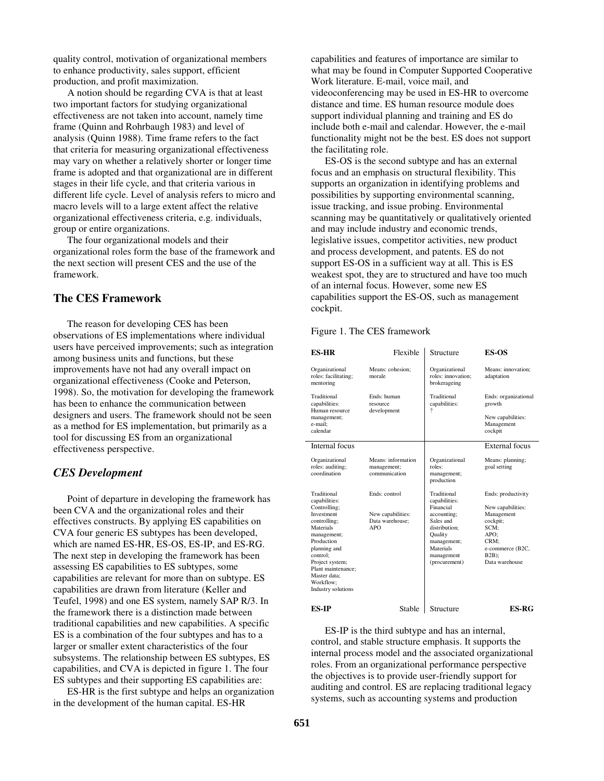quality control, motivation of organizational members to enhance productivity, sales support, efficient production, and profit maximization.

A notion should be regarding CVA is that at least two important factors for studying organizational effectiveness are not taken into account, namely time frame (Quinn and Rohrbaugh 1983) and level of analysis (Quinn 1988). Time frame refers to the fact that criteria for measuring organizational effectiveness may vary on whether a relatively shorter or longer time frame is adopted and that organizational are in different stages in their life cycle, and that criteria various in different life cycle. Level of analysis refers to micro and macro levels will to a large extent affect the relative organizational effectiveness criteria, e.g. individuals, group or entire organizations.

The four organizational models and their organizational roles form the base of the framework and the next section will present CES and the use of the framework.

#### **The CES Framework**

The reason for developing CES has been observations of ES implementations where individual users have perceived improvements; such as integration among business units and functions, but these improvements have not had any overall impact on organizational effectiveness (Cooke and Peterson, 1998). So, the motivation for developing the framework has been to enhance the communication between designers and users. The framework should not be seen as a method for ES implementation, but primarily as a tool for discussing ES from an organizational effectiveness perspective.

# *CES Development*

Point of departure in developing the framework has been CVA and the organizational roles and their effectives constructs. By applying ES capabilities on CVA four generic ES subtypes has been developed, which are named ES-HR, ES-OS, ES-IP, and ES-RG. The next step in developing the framework has been assessing ES capabilities to ES subtypes, some capabilities are relevant for more than on subtype. ES capabilities are drawn from literature (Keller and Teufel, 1998) and one ES system, namely SAP R/3. In the framework there is a distinction made between traditional capabilities and new capabilities. A specific ES is a combination of the four subtypes and has to a larger or smaller extent characteristics of the four subsystems. The relationship between ES subtypes, ES capabilities, and CVA is depicted in figure 1. The four ES subtypes and their supporting ES capabilities are:

ES-HR is the first subtype and helps an organization in the development of the human capital. ES-HR

capabilities and features of importance are similar to what may be found in Computer Supported Cooperative Work literature. E-mail, voice mail, and videoconferencing may be used in ES-HR to overcome distance and time. ES human resource module does support individual planning and training and ES do include both e-mail and calendar. However, the e-mail functionality might not be the best. ES does not support the facilitating role.

ES-OS is the second subtype and has an external focus and an emphasis on structural flexibility. This supports an organization in identifying problems and possibilities by supporting environmental scanning, issue tracking, and issue probing. Environmental scanning may be quantitatively or qualitatively oriented and may include industry and economic trends, legislative issues, competitor activities, new product and process development, and patents. ES do not support ES-OS in a sufficient way at all. This is ES weakest spot, they are to structured and have too much of an internal focus. However, some new ES capabilities support the ES-OS, such as management cockpit.

#### Figure 1. The CES framework

| <b>ES-HR</b>                                                                                                                                                                                                                                 | Flexible                                                     | Structure                                                                                                                                                           | <b>ES-OS</b>                                                                                                                                |
|----------------------------------------------------------------------------------------------------------------------------------------------------------------------------------------------------------------------------------------------|--------------------------------------------------------------|---------------------------------------------------------------------------------------------------------------------------------------------------------------------|---------------------------------------------------------------------------------------------------------------------------------------------|
| Organizational<br>roles: facilitating;<br>mentoring                                                                                                                                                                                          | Means: cohesion:<br>morale                                   | Organizational<br>roles: innovation:<br>brokerageing                                                                                                                | Means: innovation:<br>adaptation                                                                                                            |
| Traditional<br>capabilities:<br>Human resource<br>management;<br>e-mail:<br>calendar                                                                                                                                                         | Ends: human<br>resource<br>development                       | Traditional<br>capabilities:<br>9                                                                                                                                   | Ends: organizational<br>growth<br>New capabilities:<br>Management<br>cockpit                                                                |
| Internal focus                                                                                                                                                                                                                               |                                                              |                                                                                                                                                                     | External focus                                                                                                                              |
| Organizational<br>roles: auditing;<br>coordination                                                                                                                                                                                           | Means: information<br>management;<br>communication           | Organizational<br>roles:<br>management;<br>production                                                                                                               | Means: planning;<br>goal setting                                                                                                            |
| Traditional<br>capabilities:<br>Controlling;<br>Investment<br>controlling;<br>Materials<br>management;<br>Production<br>planning and<br>control:<br>Project system;<br>Plant maintenance;<br>Master data:<br>Workflow:<br>Industry solutions | Ends: control<br>New capabilities:<br>Data warehouse:<br>APO | Traditional<br>capabilities:<br>Financial<br>accounting;<br>Sales and<br>distribution:<br><b>Quality</b><br>management;<br>Materials<br>management<br>(procurement) | Ends: productivity<br>New capabilities:<br>Management<br>cockpit;<br>SCM:<br>APO:<br>CRM:<br>e-commerce (B2C,<br>$B2B$ );<br>Data warehouse |
| ES-IP                                                                                                                                                                                                                                        | Stable                                                       | Structure                                                                                                                                                           | ES-RG                                                                                                                                       |

ES-IP is the third subtype and has an internal, control, and stable structure emphasis. It supports the internal process model and the associated organizational roles. From an organizational performance perspective the objectives is to provide user-friendly support for auditing and control. ES are replacing traditional legacy systems, such as accounting systems and production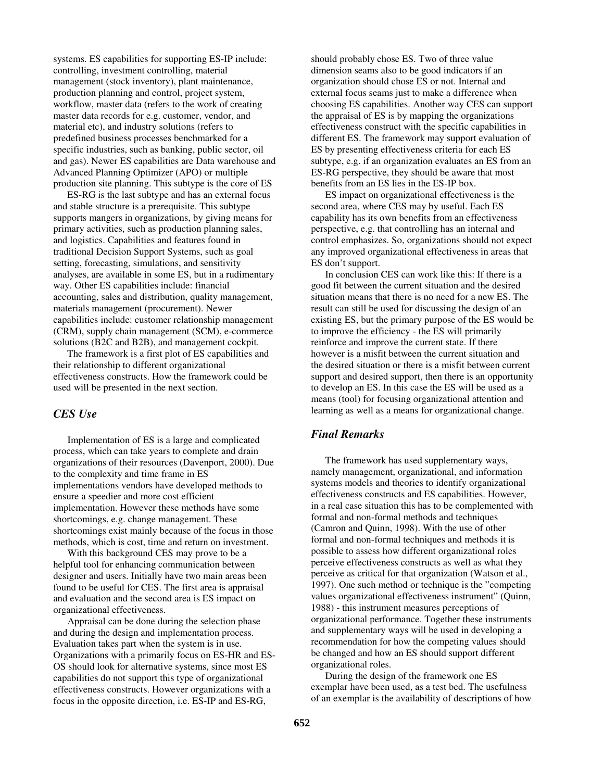systems. ES capabilities for supporting ES-IP include: controlling, investment controlling, material management (stock inventory), plant maintenance, production planning and control, project system, workflow, master data (refers to the work of creating master data records for e.g. customer, vendor, and material etc), and industry solutions (refers to predefined business processes benchmarked for a specific industries, such as banking, public sector, oil and gas). Newer ES capabilities are Data warehouse and Advanced Planning Optimizer (APO) or multiple production site planning. This subtype is the core of ES

ES-RG is the last subtype and has an external focus and stable structure is a prerequisite. This subtype supports mangers in organizations, by giving means for primary activities, such as production planning sales, and logistics. Capabilities and features found in traditional Decision Support Systems, such as goal setting, forecasting, simulations, and sensitivity analyses, are available in some ES, but in a rudimentary way. Other ES capabilities include: financial accounting, sales and distribution, quality management, materials management (procurement). Newer capabilities include: customer relationship management (CRM), supply chain management (SCM), e-commerce solutions (B2C and B2B), and management cockpit.

The framework is a first plot of ES capabilities and their relationship to different organizational effectiveness constructs. How the framework could be used will be presented in the next section.

#### *CES Use*

Implementation of ES is a large and complicated process, which can take years to complete and drain organizations of their resources (Davenport, 2000). Due to the complexity and time frame in ES implementations vendors have developed methods to ensure a speedier and more cost efficient implementation. However these methods have some shortcomings, e.g. change management. These shortcomings exist mainly because of the focus in those methods, which is cost, time and return on investment.

With this background CES may prove to be a helpful tool for enhancing communication between designer and users. Initially have two main areas been found to be useful for CES. The first area is appraisal and evaluation and the second area is ES impact on organizational effectiveness.

Appraisal can be done during the selection phase and during the design and implementation process. Evaluation takes part when the system is in use. Organizations with a primarily focus on ES-HR and ES-OS should look for alternative systems, since most ES capabilities do not support this type of organizational effectiveness constructs. However organizations with a focus in the opposite direction, i.e. ES-IP and ES-RG,

should probably chose ES. Two of three value dimension seams also to be good indicators if an organization should chose ES or not. Internal and external focus seams just to make a difference when choosing ES capabilities. Another way CES can support the appraisal of ES is by mapping the organizations effectiveness construct with the specific capabilities in different ES. The framework may support evaluation of ES by presenting effectiveness criteria for each ES subtype, e.g. if an organization evaluates an ES from an ES-RG perspective, they should be aware that most benefits from an ES lies in the ES-IP box.

ES impact on organizational effectiveness is the second area, where CES may by useful. Each ES capability has its own benefits from an effectiveness perspective, e.g. that controlling has an internal and control emphasizes. So, organizations should not expect any improved organizational effectiveness in areas that ES don't support.

In conclusion CES can work like this: If there is a good fit between the current situation and the desired situation means that there is no need for a new ES. The result can still be used for discussing the design of an existing ES, but the primary purpose of the ES would be to improve the efficiency - the ES will primarily reinforce and improve the current state. If there however is a misfit between the current situation and the desired situation or there is a misfit between current support and desired support, then there is an opportunity to develop an ES. In this case the ES will be used as a means (tool) for focusing organizational attention and learning as well as a means for organizational change.

## *Final Remarks*

The framework has used supplementary ways, namely management, organizational, and information systems models and theories to identify organizational effectiveness constructs and ES capabilities. However, in a real case situation this has to be complemented with formal and non-formal methods and techniques (Camron and Quinn, 1998). With the use of other formal and non-formal techniques and methods it is possible to assess how different organizational roles perceive effectiveness constructs as well as what they perceive as critical for that organization (Watson et al., 1997). One such method or technique is the "competing values organizational effectiveness instrument" (Quinn, 1988) - this instrument measures perceptions of organizational performance. Together these instruments and supplementary ways will be used in developing a recommendation for how the competing values should be changed and how an ES should support different organizational roles.

During the design of the framework one ES exemplar have been used, as a test bed. The usefulness of an exemplar is the availability of descriptions of how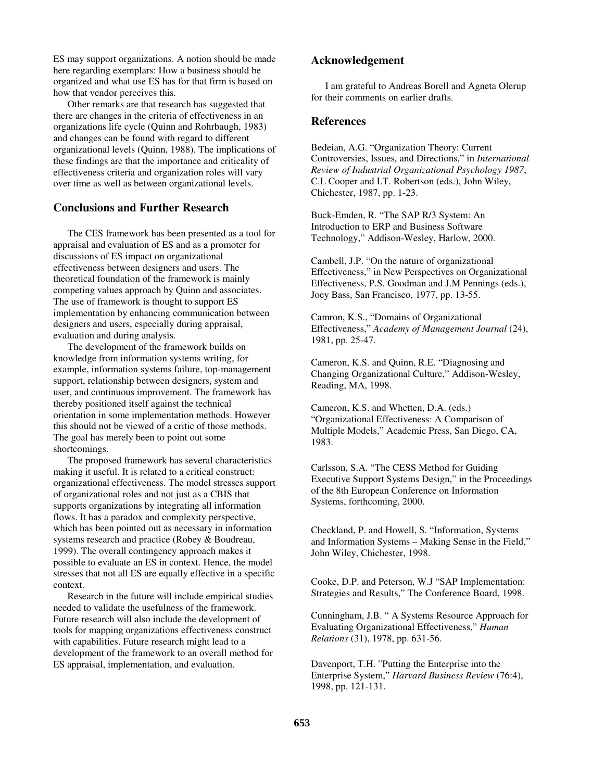ES may support organizations. A notion should be made here regarding exemplars: How a business should be organized and what use ES has for that firm is based on how that vendor perceives this.

Other remarks are that research has suggested that there are changes in the criteria of effectiveness in an organizations life cycle (Quinn and Rohrbaugh, 1983) and changes can be found with regard to different organizational levels (Quinn, 1988). The implications of these findings are that the importance and criticality of effectiveness criteria and organization roles will vary over time as well as between organizational levels.

### **Conclusions and Further Research**

The CES framework has been presented as a tool for appraisal and evaluation of ES and as a promoter for discussions of ES impact on organizational effectiveness between designers and users. The theoretical foundation of the framework is mainly competing values approach by Quinn and associates. The use of framework is thought to support ES implementation by enhancing communication between designers and users, especially during appraisal, evaluation and during analysis.

The development of the framework builds on knowledge from information systems writing, for example, information systems failure, top-management support, relationship between designers, system and user, and continuous improvement. The framework has thereby positioned itself against the technical orientation in some implementation methods. However this should not be viewed of a critic of those methods. The goal has merely been to point out some shortcomings.

The proposed framework has several characteristics making it useful. It is related to a critical construct: organizational effectiveness. The model stresses support of organizational roles and not just as a CBIS that supports organizations by integrating all information flows. It has a paradox and complexity perspective, which has been pointed out as necessary in information systems research and practice (Robey & Boudreau, 1999). The overall contingency approach makes it possible to evaluate an ES in context. Hence, the model stresses that not all ES are equally effective in a specific context.

Research in the future will include empirical studies needed to validate the usefulness of the framework. Future research will also include the development of tools for mapping organizations effectiveness construct with capabilities. Future research might lead to a development of the framework to an overall method for ES appraisal, implementation, and evaluation.

#### **Acknowledgement**

I am grateful to Andreas Borell and Agneta Olerup for their comments on earlier drafts.

#### **References**

Bedeian, A.G. "Organization Theory: Current Controversies, Issues, and Directions," in *International Review of Industrial Organizational Psychology 1987*, C.L Cooper and I.T. Robertson (eds.), John Wiley, Chichester, 1987, pp. 1-23.

Buck-Emden, R. "The SAP R/3 System: An Introduction to ERP and Business Software Technology," Addison-Wesley, Harlow, 2000.

Cambell, J.P. "On the nature of organizational Effectiveness," in New Perspectives on Organizational Effectiveness, P.S. Goodman and J.M Pennings (eds.), Joey Bass, San Francisco, 1977, pp. 13-55.

Camron, K.S., "Domains of Organizational Effectiveness," *Academy of Management Journal* (24), 1981, pp. 25-47.

Cameron, K.S. and Quinn, R.E. "Diagnosing and Changing Organizational Culture," Addison-Wesley, Reading, MA, 1998.

Cameron, K.S. and Whetten, D.A. (eds.) "Organizational Effectiveness: A Comparison of Multiple Models," Academic Press, San Diego, CA, 1983.

Carlsson, S.A. "The CESS Method for Guiding Executive Support Systems Design," in the Proceedings of the 8th European Conference on Information Systems, forthcoming, 2000.

Checkland, P. and Howell, S. "Information, Systems and Information Systems – Making Sense in the Field," John Wiley, Chichester, 1998.

Cooke, D.P. and Peterson, W.J "SAP Implementation: Strategies and Results," The Conference Board, 1998.

Cunningham, J.B. " A Systems Resource Approach for Evaluating Organizational Effectiveness," *Human Relations* (31), 1978, pp. 631-56.

Davenport, T.H. "Putting the Enterprise into the Enterprise System," *Harvard Business Review* (76:4), 1998, pp. 121-131.